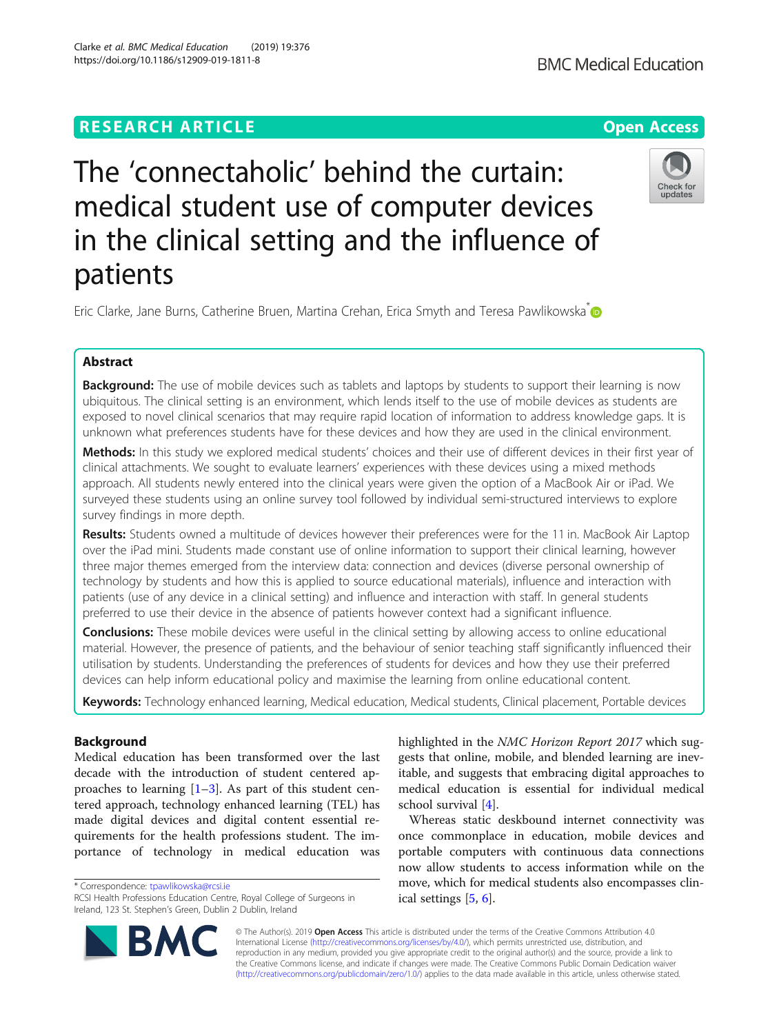# **RESEARCH ARTICLE Example 2014 12:30 The Contract of Contract ACCESS**

# The 'connectaholic' behind the curtain: medical student use of computer devices in the clinical setting and the influence of patients

Eric Clarke, Jane Burns, Catherine Bruen, Martina Crehan, Erica Smyth and Teresa Pawlikowska<sup>[\\*](http://orcid.org/0000-0001-8432-3488)</sup>

# Abstract

**Background:** The use of mobile devices such as tablets and laptops by students to support their learning is now ubiquitous. The clinical setting is an environment, which lends itself to the use of mobile devices as students are exposed to novel clinical scenarios that may require rapid location of information to address knowledge gaps. It is unknown what preferences students have for these devices and how they are used in the clinical environment.

Methods: In this study we explored medical students' choices and their use of different devices in their first year of clinical attachments. We sought to evaluate learners' experiences with these devices using a mixed methods approach. All students newly entered into the clinical years were given the option of a MacBook Air or iPad. We surveyed these students using an online survey tool followed by individual semi-structured interviews to explore survey findings in more depth.

Results: Students owned a multitude of devices however their preferences were for the 11 in. MacBook Air Laptop over the iPad mini. Students made constant use of online information to support their clinical learning, however three major themes emerged from the interview data: connection and devices (diverse personal ownership of technology by students and how this is applied to source educational materials), influence and interaction with patients (use of any device in a clinical setting) and influence and interaction with staff. In general students preferred to use their device in the absence of patients however context had a significant influence.

**Conclusions:** These mobile devices were useful in the clinical setting by allowing access to online educational material. However, the presence of patients, and the behaviour of senior teaching staff significantly influenced their utilisation by students. Understanding the preferences of students for devices and how they use their preferred devices can help inform educational policy and maximise the learning from online educational content.

Keywords: Technology enhanced learning, Medical education, Medical students, Clinical placement, Portable devices

# Background

Medical education has been transformed over the last decade with the introduction of student centered approaches to learning  $[1-3]$  $[1-3]$  $[1-3]$  $[1-3]$ . As part of this student centered approach, technology enhanced learning (TEL) has made digital devices and digital content essential requirements for the health professions student. The importance of technology in medical education was

\* Correspondence: [tpawlikowska@rcsi.ie](mailto:tpawlikowska@rcsi.ie)

itable, and suggests that embracing digital approaches to medical education is essential for individual medical school survival [\[4](#page-5-0)]. Whereas static deskbound internet connectivity was

once commonplace in education, mobile devices and portable computers with continuous data connections now allow students to access information while on the move, which for medical students also encompasses clinical settings [[5,](#page-5-0) [6\]](#page-5-0).

highlighted in the NMC Horizon Report 2017 which suggests that online, mobile, and blended learning are inev-

© The Author(s). 2019 **Open Access** This article is distributed under the terms of the Creative Commons Attribution 4.0 International License [\(http://creativecommons.org/licenses/by/4.0/](http://creativecommons.org/licenses/by/4.0/)), which permits unrestricted use, distribution, and reproduction in any medium, provided you give appropriate credit to the original author(s) and the source, provide a link to the Creative Commons license, and indicate if changes were made. The Creative Commons Public Domain Dedication waiver [\(http://creativecommons.org/publicdomain/zero/1.0/](http://creativecommons.org/publicdomain/zero/1.0/)) applies to the data made available in this article, unless otherwise stated.







RCSI Health Professions Education Centre, Royal College of Surgeons in Ireland, 123 St. Stephen's Green, Dublin 2 Dublin, Ireland

Clarke et al. BMC Medical Education (2019) 19:376 https://doi.org/10.1186/s12909-019-1811-8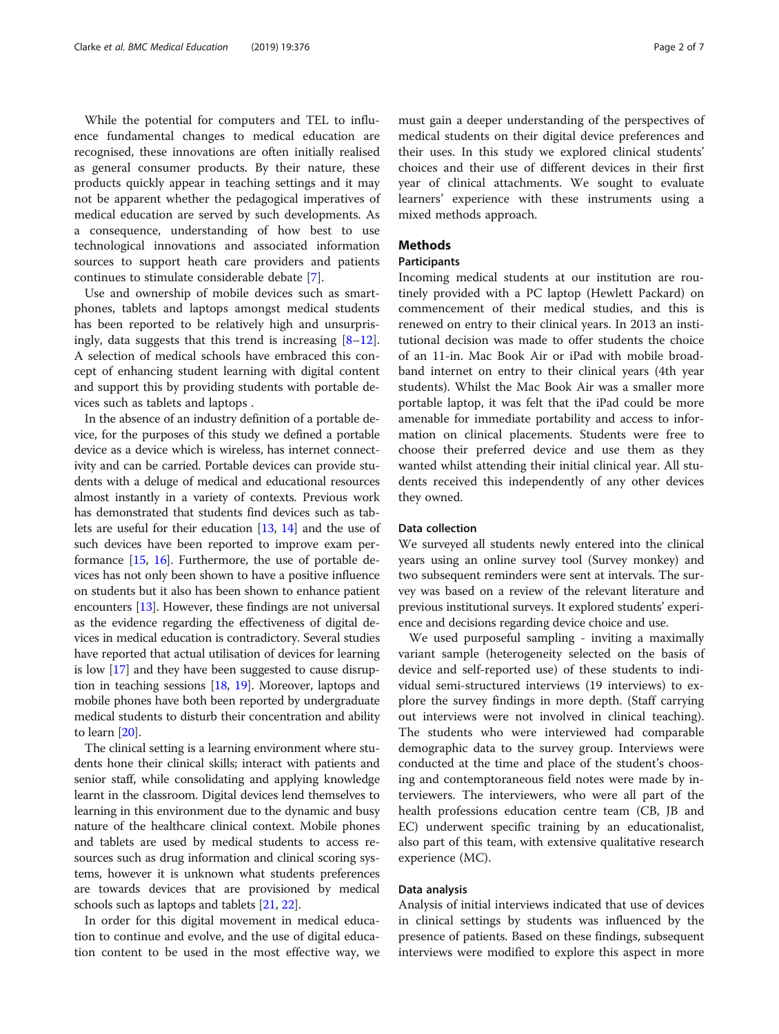While the potential for computers and TEL to influence fundamental changes to medical education are recognised, these innovations are often initially realised as general consumer products. By their nature, these products quickly appear in teaching settings and it may not be apparent whether the pedagogical imperatives of medical education are served by such developments. As a consequence, understanding of how best to use technological innovations and associated information sources to support heath care providers and patients continues to stimulate considerable debate [[7\]](#page-5-0).

Use and ownership of mobile devices such as smartphones, tablets and laptops amongst medical students has been reported to be relatively high and unsurprisingly, data suggests that this trend is increasing  $[8-12]$  $[8-12]$  $[8-12]$  $[8-12]$  $[8-12]$ . A selection of medical schools have embraced this concept of enhancing student learning with digital content and support this by providing students with portable devices such as tablets and laptops .

In the absence of an industry definition of a portable device, for the purposes of this study we defined a portable device as a device which is wireless, has internet connectivity and can be carried. Portable devices can provide students with a deluge of medical and educational resources almost instantly in a variety of contexts. Previous work has demonstrated that students find devices such as tablets are useful for their education [[13](#page-6-0), [14\]](#page-6-0) and the use of such devices have been reported to improve exam performance [[15](#page-6-0), [16](#page-6-0)]. Furthermore, the use of portable devices has not only been shown to have a positive influence on students but it also has been shown to enhance patient encounters [[13](#page-6-0)]. However, these findings are not universal as the evidence regarding the effectiveness of digital devices in medical education is contradictory. Several studies have reported that actual utilisation of devices for learning is low [\[17](#page-6-0)] and they have been suggested to cause disruption in teaching sessions [\[18,](#page-6-0) [19](#page-6-0)]. Moreover, laptops and mobile phones have both been reported by undergraduate medical students to disturb their concentration and ability to learn [\[20\]](#page-6-0).

The clinical setting is a learning environment where students hone their clinical skills; interact with patients and senior staff, while consolidating and applying knowledge learnt in the classroom. Digital devices lend themselves to learning in this environment due to the dynamic and busy nature of the healthcare clinical context. Mobile phones and tablets are used by medical students to access resources such as drug information and clinical scoring systems, however it is unknown what students preferences are towards devices that are provisioned by medical schools such as laptops and tablets [\[21,](#page-6-0) [22](#page-6-0)].

In order for this digital movement in medical education to continue and evolve, and the use of digital education content to be used in the most effective way, we must gain a deeper understanding of the perspectives of medical students on their digital device preferences and their uses. In this study we explored clinical students' choices and their use of different devices in their first year of clinical attachments. We sought to evaluate learners' experience with these instruments using a mixed methods approach.

# **Methods**

# Participants

Incoming medical students at our institution are routinely provided with a PC laptop (Hewlett Packard) on commencement of their medical studies, and this is renewed on entry to their clinical years. In 2013 an institutional decision was made to offer students the choice of an 11-in. Mac Book Air or iPad with mobile broadband internet on entry to their clinical years (4th year students). Whilst the Mac Book Air was a smaller more portable laptop, it was felt that the iPad could be more amenable for immediate portability and access to information on clinical placements. Students were free to choose their preferred device and use them as they wanted whilst attending their initial clinical year. All students received this independently of any other devices they owned.

# Data collection

We surveyed all students newly entered into the clinical years using an online survey tool (Survey monkey) and two subsequent reminders were sent at intervals. The survey was based on a review of the relevant literature and previous institutional surveys. It explored students' experience and decisions regarding device choice and use.

We used purposeful sampling - inviting a maximally variant sample (heterogeneity selected on the basis of device and self-reported use) of these students to individual semi-structured interviews (19 interviews) to explore the survey findings in more depth. (Staff carrying out interviews were not involved in clinical teaching). The students who were interviewed had comparable demographic data to the survey group. Interviews were conducted at the time and place of the student's choosing and contemptoraneous field notes were made by interviewers. The interviewers, who were all part of the health professions education centre team (CB, JB and EC) underwent specific training by an educationalist, also part of this team, with extensive qualitative research experience (MC).

## Data analysis

Analysis of initial interviews indicated that use of devices in clinical settings by students was influenced by the presence of patients. Based on these findings, subsequent interviews were modified to explore this aspect in more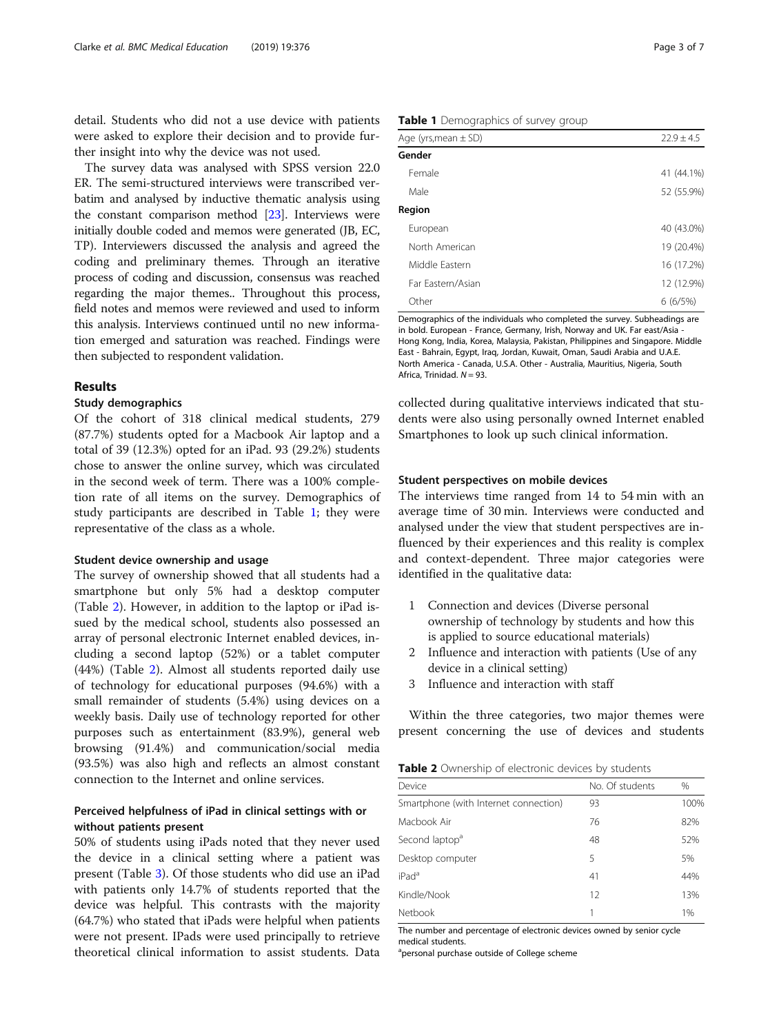detail. Students who did not a use device with patients were asked to explore their decision and to provide further insight into why the device was not used.

The survey data was analysed with SPSS version 22.0 ER. The semi-structured interviews were transcribed verbatim and analysed by inductive thematic analysis using the constant comparison method [\[23\]](#page-6-0). Interviews were initially double coded and memos were generated (JB, EC, TP). Interviewers discussed the analysis and agreed the coding and preliminary themes. Through an iterative process of coding and discussion, consensus was reached regarding the major themes.. Throughout this process, field notes and memos were reviewed and used to inform this analysis. Interviews continued until no new information emerged and saturation was reached. Findings were then subjected to respondent validation.

## Results

#### Study demographics

Of the cohort of 318 clinical medical students, 279 (87.7%) students opted for a Macbook Air laptop and a total of 39 (12.3%) opted for an iPad. 93 (29.2%) students chose to answer the online survey, which was circulated in the second week of term. There was a 100% completion rate of all items on the survey. Demographics of study participants are described in Table 1; they were representative of the class as a whole.

### Student device ownership and usage

The survey of ownership showed that all students had a smartphone but only 5% had a desktop computer (Table 2). However, in addition to the laptop or iPad issued by the medical school, students also possessed an array of personal electronic Internet enabled devices, including a second laptop (52%) or a tablet computer (44%) (Table 2). Almost all students reported daily use of technology for educational purposes (94.6%) with a small remainder of students (5.4%) using devices on a weekly basis. Daily use of technology reported for other purposes such as entertainment (83.9%), general web browsing (91.4%) and communication/social media (93.5%) was also high and reflects an almost constant connection to the Internet and online services.

# Perceived helpfulness of iPad in clinical settings with or without patients present

50% of students using iPads noted that they never used the device in a clinical setting where a patient was present (Table [3\)](#page-3-0). Of those students who did use an iPad with patients only 14.7% of students reported that the device was helpful. This contrasts with the majority (64.7%) who stated that iPads were helpful when patients were not present. IPads were used principally to retrieve theoretical clinical information to assist students. Data

# Table 1 Demographics of survey group

| Age (yrs, mean $\pm$ SD) | $22.9 \pm 4.5$ |
|--------------------------|----------------|
| Gender                   |                |
| Female                   | 41 (44.1%)     |
| Male                     | 52 (55.9%)     |
| Region                   |                |
| European                 | 40 (43.0%)     |
| North American           | 19 (20.4%)     |
| Middle Fastern           | 16 (17.2%)     |
| Far Fastern/Asian        | 12 (12.9%)     |
| Other                    | 6(6/5%)        |

Demographics of the individuals who completed the survey. Subheadings are in bold. European - France, Germany, Irish, Norway and UK. Far east/Asia Hong Kong, India, Korea, Malaysia, Pakistan, Philippines and Singapore. Middle East - Bahrain, Egypt, Iraq, Jordan, Kuwait, Oman, Saudi Arabia and U.A.E. North America - Canada, U.S.A. Other - Australia, Mauritius, Nigeria, South Africa, Trinidad.  $N = 93$ .

collected during qualitative interviews indicated that students were also using personally owned Internet enabled Smartphones to look up such clinical information.

### Student perspectives on mobile devices

The interviews time ranged from 14 to 54 min with an average time of 30 min. Interviews were conducted and analysed under the view that student perspectives are influenced by their experiences and this reality is complex and context-dependent. Three major categories were identified in the qualitative data:

- 1 Connection and devices (Diverse personal ownership of technology by students and how this is applied to source educational materials)
- 2 Influence and interaction with patients (Use of any device in a clinical setting)
- 3 Influence and interaction with staff

Within the three categories, two major themes were present concerning the use of devices and students

|  |  | Table 2 Ownership of electronic devices by students |  |  |
|--|--|-----------------------------------------------------|--|--|
|--|--|-----------------------------------------------------|--|--|

| Device                                | No. Of students | $\%$ |  |
|---------------------------------------|-----------------|------|--|
| Smartphone (with Internet connection) | 93              | 100% |  |
| Macbook Air                           | 76              | 82%  |  |
| Second laptop <sup>a</sup>            | 48              | 52%  |  |
| Desktop computer                      | 5               | 5%   |  |
| iPad <sup>a</sup>                     | 41              | 44%  |  |
| Kindle/Nook                           | 12              | 13%  |  |
| <b>Netbook</b>                        |                 | 1%   |  |

The number and percentage of electronic devices owned by senior cycle medical students.

<sup>a</sup>personal purchase outside of College scheme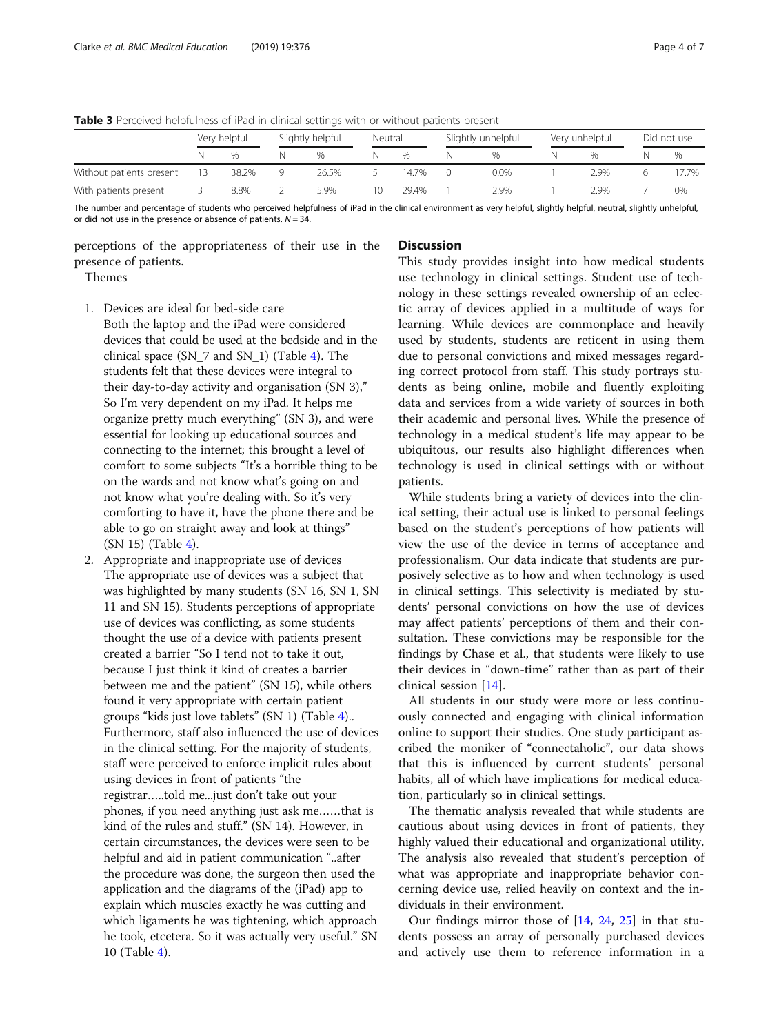|                          | Very helpful |       | Slightly helpful |               | Neutral |       | Slightly unhelpful |      | Very unhelpful |      | Did not use |       |
|--------------------------|--------------|-------|------------------|---------------|---------|-------|--------------------|------|----------------|------|-------------|-------|
|                          |              |       |                  | $\frac{0}{0}$ |         | $\%$  |                    | %    |                | $\%$ |             | %     |
| Without patients present |              | 38.2% |                  | 26.5%         |         | 14 7% |                    | 0.0% |                | 2.9% |             | 17.7% |
| With patients present    |              | 8.8%  |                  | 5.9%          | 10      | 29.4% |                    | 2.9% |                | 2.9% |             | 0%    |

<span id="page-3-0"></span>Table 3 Perceived helpfulness of iPad in clinical settings with or without patients present

The number and percentage of students who perceived helpfulness of iPad in the clinical environment as very helpful, slightly helpful, neutral, slightly unhelpful, or did not use in the presence or absence of patients.  $N = 34$ .

perceptions of the appropriateness of their use in the presence of patients.

Themes

- 1. Devices are ideal for bed-side care Both the laptop and the iPad were considered devices that could be used at the bedside and in the clinical space (SN\_7 and SN\_1) (Table [4](#page-4-0)). The students felt that these devices were integral to their day-to-day activity and organisation (SN 3)," So I'm very dependent on my iPad. It helps me organize pretty much everything" (SN 3), and were essential for looking up educational sources and connecting to the internet; this brought a level of comfort to some subjects "It's a horrible thing to be on the wards and not know what's going on and not know what you're dealing with. So it's very comforting to have it, have the phone there and be able to go on straight away and look at things" (SN 15) (Table [4\)](#page-4-0).
- 2. Appropriate and inappropriate use of devices The appropriate use of devices was a subject that was highlighted by many students (SN 16, SN 1, SN 11 and SN 15). Students perceptions of appropriate use of devices was conflicting, as some students thought the use of a device with patients present created a barrier "So I tend not to take it out, because I just think it kind of creates a barrier between me and the patient" (SN 15), while others found it very appropriate with certain patient groups "kids just love tablets" (SN 1) (Table [4\)](#page-4-0).. Furthermore, staff also influenced the use of devices in the clinical setting. For the majority of students, staff were perceived to enforce implicit rules about using devices in front of patients "the registrar…..told me...just don't take out your phones, if you need anything just ask me……that is kind of the rules and stuff." (SN 14). However, in certain circumstances, the devices were seen to be helpful and aid in patient communication "..after the procedure was done, the surgeon then used the application and the diagrams of the (iPad) app to explain which muscles exactly he was cutting and which ligaments he was tightening, which approach he took, etcetera. So it was actually very useful." SN 10 (Table [4](#page-4-0)).

# **Discussion**

This study provides insight into how medical students use technology in clinical settings. Student use of technology in these settings revealed ownership of an eclectic array of devices applied in a multitude of ways for learning. While devices are commonplace and heavily used by students, students are reticent in using them due to personal convictions and mixed messages regarding correct protocol from staff. This study portrays students as being online, mobile and fluently exploiting data and services from a wide variety of sources in both their academic and personal lives. While the presence of technology in a medical student's life may appear to be ubiquitous, our results also highlight differences when technology is used in clinical settings with or without patients.

While students bring a variety of devices into the clinical setting, their actual use is linked to personal feelings based on the student's perceptions of how patients will view the use of the device in terms of acceptance and professionalism. Our data indicate that students are purposively selective as to how and when technology is used in clinical settings. This selectivity is mediated by students' personal convictions on how the use of devices may affect patients' perceptions of them and their consultation. These convictions may be responsible for the findings by Chase et al., that students were likely to use their devices in "down-time" rather than as part of their clinical session [\[14](#page-6-0)].

All students in our study were more or less continuously connected and engaging with clinical information online to support their studies. One study participant ascribed the moniker of "connectaholic", our data shows that this is influenced by current students' personal habits, all of which have implications for medical education, particularly so in clinical settings.

The thematic analysis revealed that while students are cautious about using devices in front of patients, they highly valued their educational and organizational utility. The analysis also revealed that student's perception of what was appropriate and inappropriate behavior concerning device use, relied heavily on context and the individuals in their environment.

Our findings mirror those of [[14,](#page-6-0) [24,](#page-6-0) [25\]](#page-6-0) in that students possess an array of personally purchased devices and actively use them to reference information in a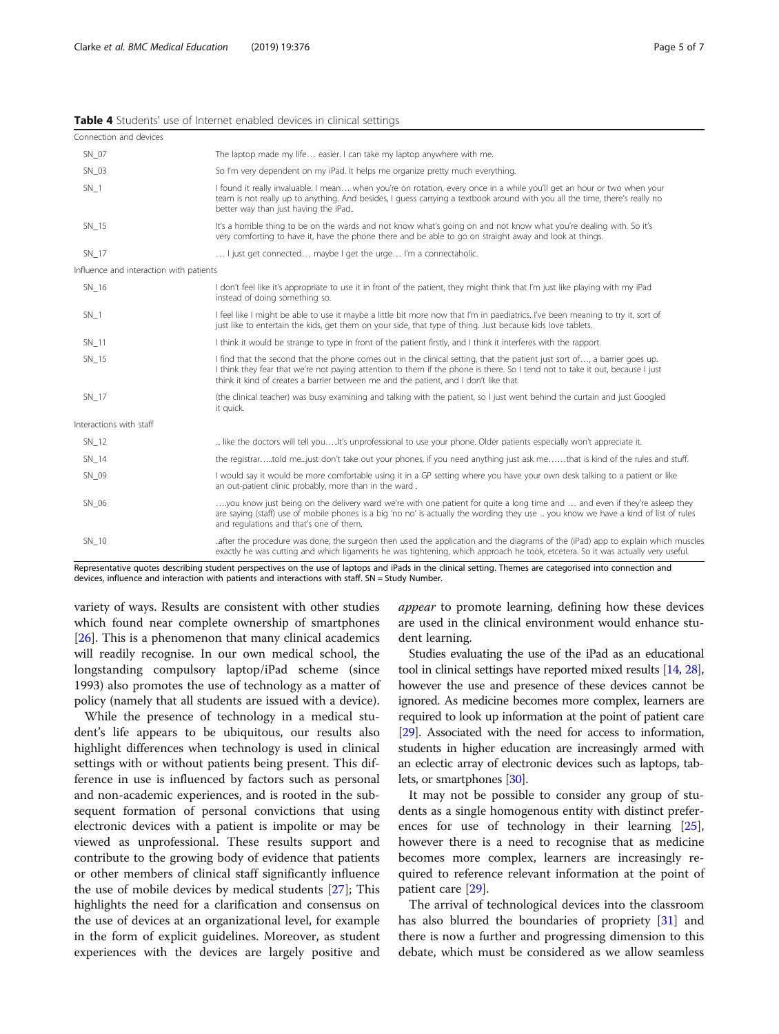<span id="page-4-0"></span>

| Connection and devices                  |                                                                                                                                                                                                                                                                                                                                                      |
|-----------------------------------------|------------------------------------------------------------------------------------------------------------------------------------------------------------------------------------------------------------------------------------------------------------------------------------------------------------------------------------------------------|
| SN 07                                   | The laptop made my life easier. I can take my laptop anywhere with me.                                                                                                                                                                                                                                                                               |
| SN 03                                   | So I'm very dependent on my iPad. It helps me organize pretty much everything.                                                                                                                                                                                                                                                                       |
| $SN_1$                                  | I found it really invaluable. I mean when you're on rotation, every once in a while you'll get an hour or two when your<br>team is not really up to anything. And besides, I quess carrying a textbook around with you all the time, there's really no<br>better way than just having the iPad                                                       |
| $SN_15$                                 | It's a horrible thing to be on the wards and not know what's going on and not know what you're dealing with. So it's<br>very comforting to have it, have the phone there and be able to go on straight away and look at things.                                                                                                                      |
| $SN_17$                                 | I just get connected maybe I get the urge I'm a connectaholic.                                                                                                                                                                                                                                                                                       |
| Influence and interaction with patients |                                                                                                                                                                                                                                                                                                                                                      |
| SN 16                                   | I don't feel like it's appropriate to use it in front of the patient, they might think that I'm just like playing with my iPad<br>instead of doing something so.                                                                                                                                                                                     |
| SN <sub>1</sub>                         | I feel like I might be able to use it maybe a little bit more now that I'm in paediatrics. I've been meaning to try it, sort of<br>just like to entertain the kids, get them on your side, that type of thing. Just because kids love tablets.                                                                                                       |
| $SN_111$                                | I think it would be strange to type in front of the patient firstly, and I think it interferes with the rapport.                                                                                                                                                                                                                                     |
| $SN_15$                                 | I find that the second that the phone comes out in the clinical setting, that the patient just sort of, a barrier goes up.<br>I think they fear that we're not paying attention to them if the phone is there. So I tend not to take it out, because I just<br>think it kind of creates a barrier between me and the patient, and I don't like that. |
| $SN_17$                                 | (the clinical teacher) was busy examining and talking with the patient, so I just went behind the curtain and just Googled<br>it quick.                                                                                                                                                                                                              |
| Interactions with staff                 |                                                                                                                                                                                                                                                                                                                                                      |
| $SN_12$                                 | like the doctors will tell yoult's unprofessional to use your phone. Older patients especially won't appreciate it.                                                                                                                                                                                                                                  |
| $SN_14$                                 | the registrartold mejust don't take out your phones, if you need anything just ask methat is kind of the rules and stuff.                                                                                                                                                                                                                            |
| SN_09                                   | I would say it would be more comfortable using it in a GP setting where you have your own desk talking to a patient or like<br>an out-patient clinic probably, more than in the ward.                                                                                                                                                                |
| SN 06                                   | you know just being on the delivery ward we're with one patient for quite a long time and  and even if they're asleep they<br>are saying (staff) use of mobile phones is a big 'no no' is actually the wording they use  you know we have a kind of list of rules<br>and regulations and that's one of them.                                         |
| SN 10                                   | .after the procedure was done, the surgeon then used the application and the diagrams of the (iPad) app to explain which muscles<br>exactly he was cutting and which ligaments he was tightening, which approach he took, etcetera. So it was actually very useful.                                                                                  |

Representative quotes describing student perspectives on the use of laptops and iPads in the clinical setting. Themes are categorised into connection and devices, influence and interaction with patients and interactions with staff. SN = Study Number.

variety of ways. Results are consistent with other studies which found near complete ownership of smartphones [[26\]](#page-6-0). This is a phenomenon that many clinical academics will readily recognise. In our own medical school, the longstanding compulsory laptop/iPad scheme (since 1993) also promotes the use of technology as a matter of policy (namely that all students are issued with a device).

While the presence of technology in a medical student's life appears to be ubiquitous, our results also highlight differences when technology is used in clinical settings with or without patients being present. This difference in use is influenced by factors such as personal and non-academic experiences, and is rooted in the subsequent formation of personal convictions that using electronic devices with a patient is impolite or may be viewed as unprofessional. These results support and contribute to the growing body of evidence that patients or other members of clinical staff significantly influence the use of mobile devices by medical students [[27\]](#page-6-0); This highlights the need for a clarification and consensus on the use of devices at an organizational level, for example in the form of explicit guidelines. Moreover, as student experiences with the devices are largely positive and appear to promote learning, defining how these devices are used in the clinical environment would enhance student learning.

Studies evaluating the use of the iPad as an educational tool in clinical settings have reported mixed results [\[14](#page-6-0), [28](#page-6-0)], however the use and presence of these devices cannot be ignored. As medicine becomes more complex, learners are required to look up information at the point of patient care [[29](#page-6-0)]. Associated with the need for access to information, students in higher education are increasingly armed with an eclectic array of electronic devices such as laptops, tablets, or smartphones [[30\]](#page-6-0).

It may not be possible to consider any group of students as a single homogenous entity with distinct preferences for use of technology in their learning [\[25](#page-6-0)], however there is a need to recognise that as medicine becomes more complex, learners are increasingly required to reference relevant information at the point of patient care [[29\]](#page-6-0).

The arrival of technological devices into the classroom has also blurred the boundaries of propriety [[31](#page-6-0)] and there is now a further and progressing dimension to this debate, which must be considered as we allow seamless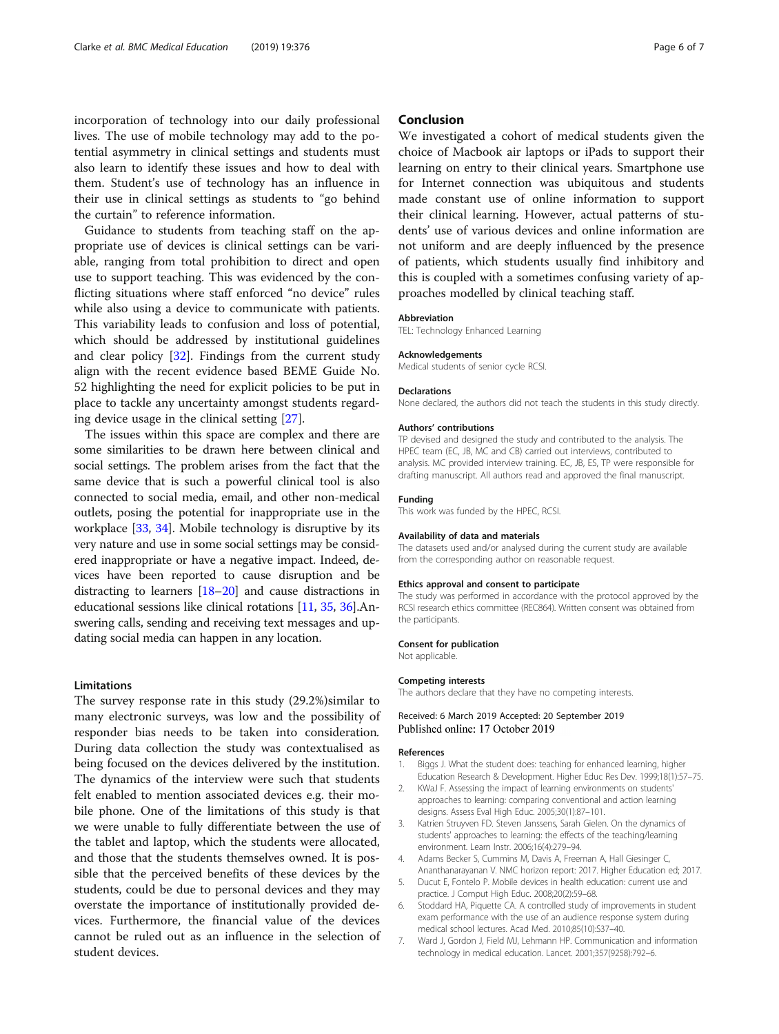<span id="page-5-0"></span>incorporation of technology into our daily professional lives. The use of mobile technology may add to the potential asymmetry in clinical settings and students must also learn to identify these issues and how to deal with them. Student's use of technology has an influence in their use in clinical settings as students to "go behind the curtain" to reference information.

Guidance to students from teaching staff on the appropriate use of devices is clinical settings can be variable, ranging from total prohibition to direct and open use to support teaching. This was evidenced by the conflicting situations where staff enforced "no device" rules while also using a device to communicate with patients. This variability leads to confusion and loss of potential, which should be addressed by institutional guidelines and clear policy [[32](#page-6-0)]. Findings from the current study align with the recent evidence based BEME Guide No. 52 highlighting the need for explicit policies to be put in place to tackle any uncertainty amongst students regarding device usage in the clinical setting [\[27\]](#page-6-0).

The issues within this space are complex and there are some similarities to be drawn here between clinical and social settings. The problem arises from the fact that the same device that is such a powerful clinical tool is also connected to social media, email, and other non-medical outlets, posing the potential for inappropriate use in the workplace [[33,](#page-6-0) [34\]](#page-6-0). Mobile technology is disruptive by its very nature and use in some social settings may be considered inappropriate or have a negative impact. Indeed, devices have been reported to cause disruption and be distracting to learners [\[18](#page-6-0)–[20\]](#page-6-0) and cause distractions in educational sessions like clinical rotations [[11](#page-6-0), [35,](#page-6-0) [36\]](#page-6-0).Answering calls, sending and receiving text messages and updating social media can happen in any location.

#### Limitations

The survey response rate in this study (29.2%)similar to many electronic surveys, was low and the possibility of responder bias needs to be taken into consideration. During data collection the study was contextualised as being focused on the devices delivered by the institution. The dynamics of the interview were such that students felt enabled to mention associated devices e.g. their mobile phone. One of the limitations of this study is that we were unable to fully differentiate between the use of the tablet and laptop, which the students were allocated, and those that the students themselves owned. It is possible that the perceived benefits of these devices by the students, could be due to personal devices and they may overstate the importance of institutionally provided devices. Furthermore, the financial value of the devices cannot be ruled out as an influence in the selection of student devices.

# Conclusion

We investigated a cohort of medical students given the choice of Macbook air laptops or iPads to support their learning on entry to their clinical years. Smartphone use for Internet connection was ubiquitous and students made constant use of online information to support their clinical learning. However, actual patterns of students' use of various devices and online information are not uniform and are deeply influenced by the presence of patients, which students usually find inhibitory and this is coupled with a sometimes confusing variety of approaches modelled by clinical teaching staff.

### **Abbreviation**

TEL: Technology Enhanced Learning

#### Acknowledgements

Medical students of senior cycle RCSI.

#### Declarations

None declared, the authors did not teach the students in this study directly.

#### Authors' contributions

TP devised and designed the study and contributed to the analysis. The HPEC team (EC, JB, MC and CB) carried out interviews, contributed to analysis. MC provided interview training. EC, JB, ES, TP were responsible for drafting manuscript. All authors read and approved the final manuscript.

#### Funding

This work was funded by the HPEC, RCSI.

#### Availability of data and materials

The datasets used and/or analysed during the current study are available from the corresponding author on reasonable request.

#### Ethics approval and consent to participate

The study was performed in accordance with the protocol approved by the RCSI research ethics committee (REC864). Written consent was obtained from the participants.

#### Consent for publication

Not applicable.

#### Competing interests

The authors declare that they have no competing interests.

### Received: 6 March 2019 Accepted: 20 September 2019 Published online: 17 October 2019

#### References

- 1. Biggs J. What the student does: teaching for enhanced learning, higher Education Research & Development. Higher Educ Res Dev. 1999;18(1):57–75.
- 2. KWaJ F. Assessing the impact of learning environments on students' approaches to learning: comparing conventional and action learning designs. Assess Eval High Educ. 2005;30(1):87–101.
- 3. Katrien Struyven FD. Steven Janssens, Sarah Gielen. On the dynamics of students' approaches to learning: the effects of the teaching/learning environment. Learn Instr. 2006;16(4):279–94.
- 4. Adams Becker S, Cummins M, Davis A, Freeman A, Hall Giesinger C, Ananthanarayanan V. NMC horizon report: 2017. Higher Education ed; 2017.
- 5. Ducut E, Fontelo P. Mobile devices in health education: current use and practice. J Comput High Educ. 2008;20(2):59–68.
- 6. Stoddard HA, Piquette CA. A controlled study of improvements in student exam performance with the use of an audience response system during medical school lectures. Acad Med. 2010;85(10):S37–40.
- 7. Ward J, Gordon J, Field MJ, Lehmann HP. Communication and information technology in medical education. Lancet. 2001;357(9258):792–6.